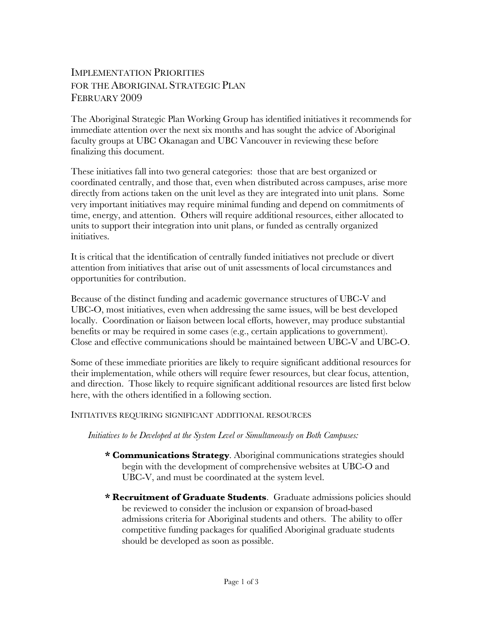# IMPLEMENTATION PRIORITIES FOR THE ABORIGINAL STRATEGIC PLAN FEBRUARY 2009

The Aboriginal Strategic Plan Working Group has identified initiatives it recommends for immediate attention over the next six months and has sought the advice of Aboriginal faculty groups at UBC Okanagan and UBC Vancouver in reviewing these before finalizing this document.

These initiatives fall into two general categories: those that are best organized or coordinated centrally, and those that, even when distributed across campuses, arise more directly from actions taken on the unit level as they are integrated into unit plans. Some very important initiatives may require minimal funding and depend on commitments of time, energy, and attention. Others will require additional resources, either allocated to units to support their integration into unit plans, or funded as centrally organized initiatives.

It is critical that the identification of centrally funded initiatives not preclude or divert attention from initiatives that arise out of unit assessments of local circumstances and opportunities for contribution.

Because of the distinct funding and academic governance structures of UBC-V and UBC-O, most initiatives, even when addressing the same issues, will be best developed locally. Coordination or liaison between local efforts, however, may produce substantial benefits or may be required in some cases (e.g., certain applications to government). Close and effective communications should be maintained between UBC-V and UBC-O.

Some of these immediate priorities are likely to require significant additional resources for their implementation, while others will require fewer resources, but clear focus, attention, and direction. Those likely to require significant additional resources are listed first below here, with the others identified in a following section.

### INITIATIVES REQUIRING SIGNIFICANT ADDITIONAL RESOURCES

### *Initiatives to be Developed at the System Level or Simultaneously on Both Campuses:*

- **\* Communications Strategy**. Aboriginal communications strategies should begin with the development of comprehensive websites at UBC-O and UBC-V, and must be coordinated at the system level.
- **\* Recruitment of Graduate Students**. Graduate admissions policies should be reviewed to consider the inclusion or expansion of broad-based admissions criteria for Aboriginal students and others. The ability to offer competitive funding packages for qualified Aboriginal graduate students should be developed as soon as possible.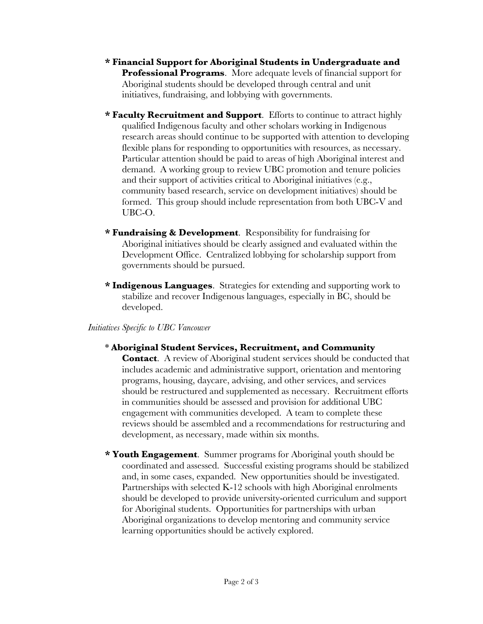- **\* Financial Support for Aboriginal Students in Undergraduate and Professional Programs**. More adequate levels of financial support for Aboriginal students should be developed through central and unit initiatives, fundraising, and lobbying with governments.
- **\* Faculty Recruitment and Support**. Efforts to continue to attract highly qualified Indigenous faculty and other scholars working in Indigenous research areas should continue to be supported with attention to developing flexible plans for responding to opportunities with resources, as necessary. Particular attention should be paid to areas of high Aboriginal interest and demand. A working group to review UBC promotion and tenure policies and their support of activities critical to Aboriginal initiatives (e.g., community based research, service on development initiatives) should be formed. This group should include representation from both UBC-V and UBC-O.
- **\* Fundraising & Development**. Responsibility for fundraising for Aboriginal initiatives should be clearly assigned and evaluated within the Development Office. Centralized lobbying for scholarship support from governments should be pursued.
- **\* Indigenous Languages**. Strategies for extending and supporting work to stabilize and recover Indigenous languages, especially in BC, should be developed.

### *Initiatives Specific to UBC Vancouver*

- \* **Aboriginal Student Services, Recruitment, and Community Contact.** A review of Aboriginal student services should be conducted that includes academic and administrative support, orientation and mentoring programs, housing, daycare, advising, and other services, and services should be restructured and supplemented as necessary. Recruitment efforts in communities should be assessed and provision for additional UBC engagement with communities developed. A team to complete these reviews should be assembled and a recommendations for restructuring and development, as necessary, made within six months.
- **\* Youth Engagement**. Summer programs for Aboriginal youth should be coordinated and assessed. Successful existing programs should be stabilized and, in some cases, expanded. New opportunities should be investigated. Partnerships with selected K-12 schools with high Aboriginal enrolments should be developed to provide university-oriented curriculum and support for Aboriginal students. Opportunities for partnerships with urban Aboriginal organizations to develop mentoring and community service learning opportunities should be actively explored.